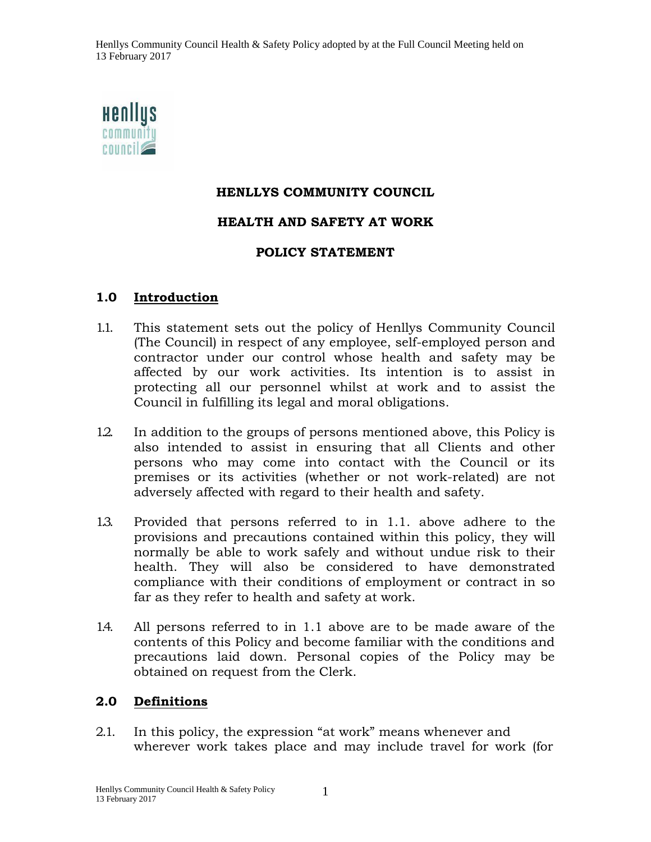Henllys Community Council Health & Safety Policy adopted by at the Full Council Meeting held on 13 February 2017



### **HENLLYS COMMUNITY COUNCIL**

#### **HEALTH AND SAFETY AT WORK**

#### **POLICY STATEMENT**

#### **1.0 Introduction**

- 1.1. This statement sets out the policy of Henllys Community Council (The Council) in respect of any employee, self-employed person and contractor under our control whose health and safety may be affected by our work activities. Its intention is to assist in protecting all our personnel whilst at work and to assist the Council in fulfilling its legal and moral obligations.
- 1.2. In addition to the groups of persons mentioned above, this Policy is also intended to assist in ensuring that all Clients and other persons who may come into contact with the Council or its premises or its activities (whether or not work-related) are not adversely affected with regard to their health and safety.
- 1.3. Provided that persons referred to in 1.1. above adhere to the provisions and precautions contained within this policy, they will normally be able to work safely and without undue risk to their health. They will also be considered to have demonstrated compliance with their conditions of employment or contract in so far as they refer to health and safety at work.
- 1.4. All persons referred to in 1.1 above are to be made aware of the contents of this Policy and become familiar with the conditions and precautions laid down. Personal copies of the Policy may be obtained on request from the Clerk.

### **2.0 Definitions**

2.1. In this policy, the expression "at work" means whenever and wherever work takes place and may include travel for work (for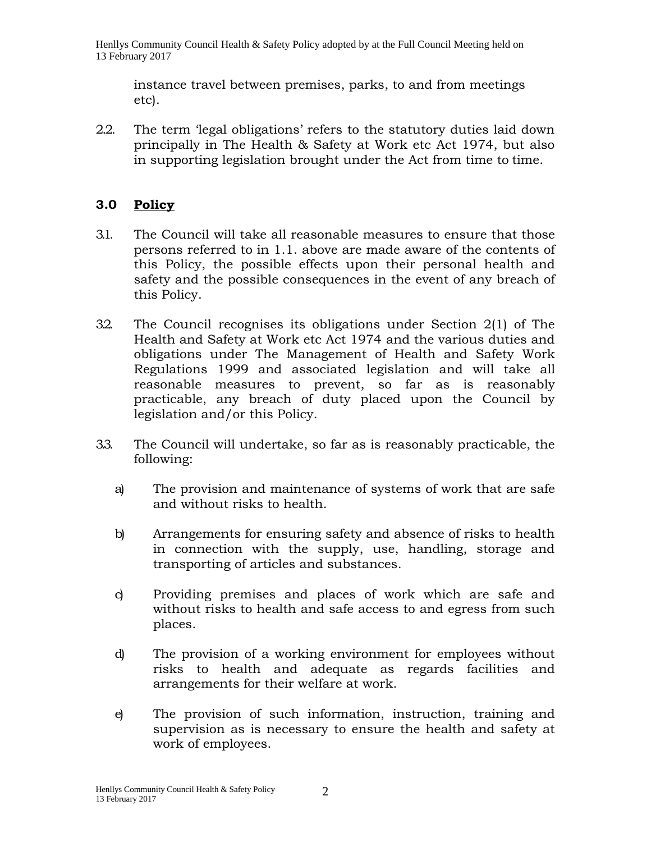Henllys Community Council Health & Safety Policy adopted by at the Full Council Meeting held on 13 February 2017

instance travel between premises, parks, to and from meetings etc).

2.2. The term 'legal obligations' refers to the statutory duties laid down principally in The Health & Safety at Work etc Act 1974, but also in supporting legislation brought under the Act from time to time.

# **3.0 Policy**

- 3.1. The Council will take all reasonable measures to ensure that those persons referred to in 1.1. above are made aware of the contents of this Policy, the possible effects upon their personal health and safety and the possible consequences in the event of any breach of this Policy.
- 3.2. The Council recognises its obligations under Section 2(1) of The Health and Safety at Work etc Act 1974 and the various duties and obligations under The Management of Health and Safety Work Regulations 1999 and associated legislation and will take all reasonable measures to prevent, so far as is reasonably practicable, any breach of duty placed upon the Council by legislation and/or this Policy.
- 3.3. The Council will undertake, so far as is reasonably practicable, the following:
	- a) The provision and maintenance of systems of work that are safe and without risks to health.
	- b) Arrangements for ensuring safety and absence of risks to health in connection with the supply, use, handling, storage and transporting of articles and substances.
	- c) Providing premises and places of work which are safe and without risks to health and safe access to and egress from such places.
	- d) The provision of a working environment for employees without risks to health and adequate as regards facilities and arrangements for their welfare at work.
	- e) The provision of such information, instruction, training and supervision as is necessary to ensure the health and safety at work of employees.